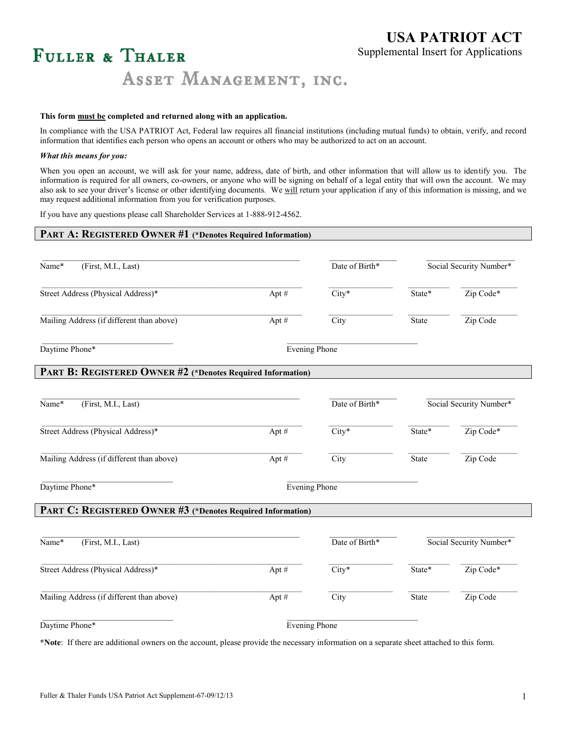## **USA PATRIOT ACT** Supplemental Insert for Applications

# FULLER & THALER

ASSET MANAGEMENT, INC.

#### **This form must be completed and returned along with an application.**

In compliance with the USA PATRIOT Act, Federal law requires all financial institutions (including mutual funds) to obtain, verify, and record information that identifies each person who opens an account or others who may be authorized to act on an account.

#### *What this means for you:*

When you open an account, we will ask for your name, address, date of birth, and other information that will allow us to identify you. The information is required for all owners, co-owners, or anyone who will be signing on behalf of a legal entity that will own the account. We may also ask to see your driver's license or other identifying documents*.* We will return your application if any of this information is missing, and we may request additional information from you for verification purposes.

If you have any questions please call Shareholder Services at 1-888-912-4562.

| PART A: REGISTERED OWNER #1 (*Denotes Required Information) |         |                      |                         |           |  |
|-------------------------------------------------------------|---------|----------------------|-------------------------|-----------|--|
| (First, M.I., Last)<br>Name*                                |         | Date of Birth*       | Social Security Number* |           |  |
|                                                             |         |                      |                         |           |  |
| Street Address (Physical Address)*                          | Apt $#$ | $City*$              | State*                  | Zip Code* |  |
| Mailing Address (if different than above)                   | Apt #   | City                 | State                   | Zip Code  |  |
| Daytime Phone*                                              |         | <b>Evening Phone</b> |                         |           |  |
| PART B: REGISTERED OWNER #2 (*Denotes Required Information) |         |                      |                         |           |  |
| (First, M.I., Last)<br>Name*                                |         | Date of Birth*       | Social Security Number* |           |  |
| Street Address (Physical Address)*                          | Apt #   | $City*$              | State*                  | Zip Code* |  |
| Mailing Address (if different than above)                   | Apt#    | City                 | State                   | Zip Code  |  |
| Daytime Phone*                                              |         | <b>Evening Phone</b> |                         |           |  |
| PART C: REGISTERED OWNER #3 (*Denotes Required Information) |         |                      |                         |           |  |
| (First, M.I., Last)<br>Name*                                |         | Date of Birth*       | Social Security Number* |           |  |
| Street Address (Physical Address)*                          | Apt#    | $City*$              | State*                  | Zip Code* |  |
| Mailing Address (if different than above)                   | Apt#    | City                 | State                   | Zip Code  |  |
| Daytime Phone*                                              |         | <b>Evening Phone</b> |                         |           |  |

**\*Note**: If there are additional owners on the account, please provide the necessary information on a separate sheet attached to this form.